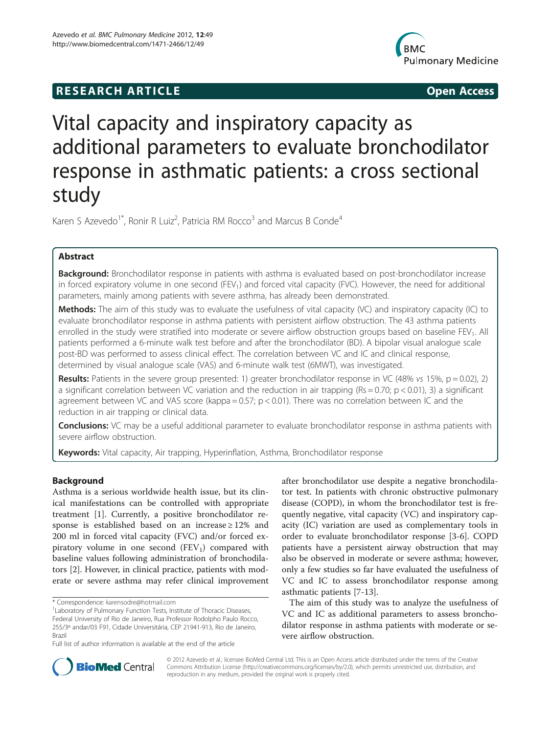# **RESEARCH ARTICLE Example 2014 The SEAR CH ACCESS**



# Vital capacity and inspiratory capacity as additional parameters to evaluate bronchodilator response in asthmatic patients: a cross sectional study

Karen S Azevedo<sup>1\*</sup>, Ronir R Luiz<sup>2</sup>, Patricia RM Rocco<sup>3</sup> and Marcus B Conde<sup>4</sup>

# Abstract

Background: Bronchodilator response in patients with asthma is evaluated based on post-bronchodilator increase in forced expiratory volume in one second (FEV<sub>1</sub>) and forced vital capacity (FVC). However, the need for additional parameters, mainly among patients with severe asthma, has already been demonstrated.

Methods: The aim of this study was to evaluate the usefulness of vital capacity (VC) and inspiratory capacity (IC) to evaluate bronchodilator response in asthma patients with persistent airflow obstruction. The 43 asthma patients enrolled in the study were stratified into moderate or severe airflow obstruction groups based on baseline FEV<sub>1</sub>. All patients performed a 6-minute walk test before and after the bronchodilator (BD). A bipolar visual analogue scale post-BD was performed to assess clinical effect. The correlation between VC and IC and clinical response, determined by visual analogue scale (VAS) and 6-minute walk test (6MWT), was investigated.

Results: Patients in the severe group presented: 1) greater bronchodilator response in VC (48% vs 15%,  $p = 0.02$ ), 2) a significant correlation between VC variation and the reduction in air trapping ( $Rs = 0.70$ ;  $p < 0.01$ ), 3) a significant agreement between VC and VAS score (kappa =  $0.57$ ;  $p < 0.01$ ). There was no correlation between IC and the reduction in air trapping or clinical data.

Conclusions: VC may be a useful additional parameter to evaluate bronchodilator response in asthma patients with severe airflow obstruction.

Keywords: Vital capacity, Air trapping, Hyperinflation, Asthma, Bronchodilator response

# Background

Asthma is a serious worldwide health issue, but its clinical manifestations can be controlled with appropriate treatment [[1\]](#page-4-0). Currently, a positive bronchodilator response is established based on an increase ≥ 12% and 200 ml in forced vital capacity (FVC) and/or forced expiratory volume in one second  $(FEV_1)$  compared with baseline values following administration of bronchodilators [[2](#page-4-0)]. However, in clinical practice, patients with moderate or severe asthma may refer clinical improvement after bronchodilator use despite a negative bronchodilator test. In patients with chronic obstructive pulmonary disease (COPD), in whom the bronchodilator test is frequently negative, vital capacity (VC) and inspiratory capacity (IC) variation are used as complementary tools in order to evaluate bronchodilator response [[3-6](#page-4-0)]. COPD patients have a persistent airway obstruction that may also be observed in moderate or severe asthma; however, only a few studies so far have evaluated the usefulness of VC and IC to assess bronchodilator response among asthmatic patients [\[7](#page-4-0)-[13\]](#page-5-0).

The aim of this study was to analyze the usefulness of VC and IC as additional parameters to assess bronchodilator response in asthma patients with moderate or severe airflow obstruction.



© 2012 Azevedo et al.; licensee BioMed Central Ltd. This is an Open Access article distributed under the terms of the Creative Commons Attribution License [\(http://creativecommons.org/licenses/by/2.0\)](http://creativecommons.org/licenses/by/2.0), which permits unrestricted use, distribution, and reproduction in any medium, provided the original work is properly cited.

<sup>\*</sup> Correspondence: [karensodre@hotmail.com](mailto:karensodre@hotmail.com) <sup>1</sup>

<sup>&</sup>lt;sup>1</sup> Laboratory of Pulmonary Function Tests, Institute of Thoracic Diseases, Federal University of Rio de Janeiro, Rua Professor Rodolpho Paulo Rocco, 255/3º andar/03 F91, Cidade Universitária, CEP 21941-913, Rio de Janeiro, Brazil

Full list of author information is available at the end of the article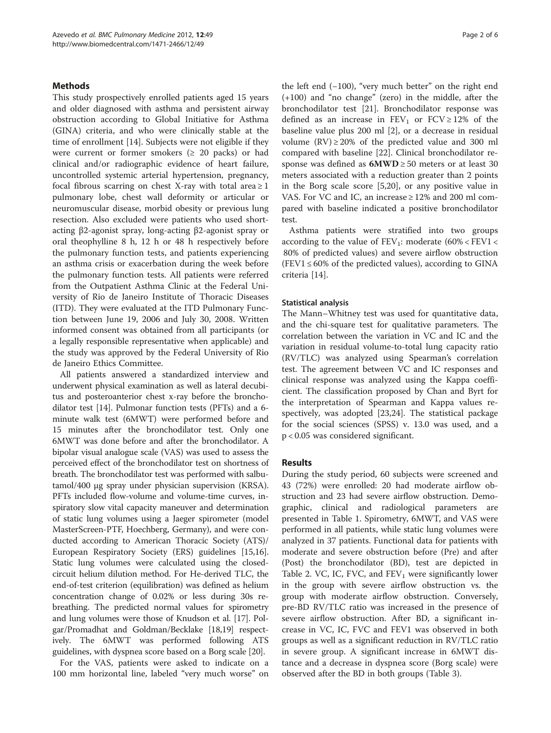# **Methods**

This study prospectively enrolled patients aged 15 years and older diagnosed with asthma and persistent airway obstruction according to Global Initiative for Asthma (GINA) criteria, and who were clinically stable at the time of enrollment [[14](#page-5-0)]. Subjects were not eligible if they were current or former smokers ( $\geq$  20 packs) or had clinical and/or radiographic evidence of heart failure, uncontrolled systemic arterial hypertension, pregnancy, focal fibrous scarring on chest X-ray with total area  $\geq 1$ pulmonary lobe, chest wall deformity or articular or neuromuscular disease, morbid obesity or previous lung resection. Also excluded were patients who used shortacting β2-agonist spray, long-acting β2-agonist spray or oral theophylline 8 h, 12 h or 48 h respectively before the pulmonary function tests, and patients experiencing an asthma crisis or exacerbation during the week before the pulmonary function tests. All patients were referred from the Outpatient Asthma Clinic at the Federal University of Rio de Janeiro Institute of Thoracic Diseases (ITD). They were evaluated at the ITD Pulmonary Function between June 19, 2006 and July 30, 2008. Written informed consent was obtained from all participants (or a legally responsible representative when applicable) and the study was approved by the Federal University of Rio de Janeiro Ethics Committee.

All patients answered a standardized interview and underwent physical examination as well as lateral decubitus and posteroanterior chest x-ray before the bronchodilator test [\[14\]](#page-5-0). Pulmonar function tests (PFTs) and a 6 minute walk test (6MWT) were performed before and 15 minutes after the bronchodilator test. Only one 6MWT was done before and after the bronchodilator. A bipolar visual analogue scale (VAS) was used to assess the perceived effect of the bronchodilator test on shortness of breath. The bronchodilator test was performed with salbutamol/400 μg spray under physician supervision (KRSA). PFTs included flow-volume and volume-time curves, inspiratory slow vital capacity maneuver and determination of static lung volumes using a Jaeger spirometer (model MasterScreen-PTF, Hoechberg, Germany), and were conducted according to American Thoracic Society (ATS)/ European Respiratory Society (ERS) guidelines [\[15,16](#page-5-0)]. Static lung volumes were calculated using the closedcircuit helium dilution method. For He-derived TLC, the end-of-test criterion (equilibration) was defined as helium concentration change of 0.02% or less during 30s rebreathing. The predicted normal values for spirometry and lung volumes were those of Knudson et al. [\[17\]](#page-5-0). Polgar/Promadhat and Goldman/Becklake [\[18,19\]](#page-5-0) respectively. The 6MWT was performed following ATS guidelines, with dyspnea score based on a Borg scale [[20](#page-5-0)].

For the VAS, patients were asked to indicate on a 100 mm horizontal line, labeled "very much worse" on

the left end (−100), "very much better" on the right end (+100) and "no change" (zero) in the middle, after the bronchodilator test [\[21](#page-5-0)]. Bronchodilator response was defined as an increase in  $FEV_1$  or  $FCV \ge 12\%$  of the baseline value plus 200 ml [\[2](#page-4-0)], or a decrease in residual volume  $(RV) \ge 20\%$  of the predicted value and 300 ml compared with baseline [\[22](#page-5-0)]. Clinical bronchodilator response was defined as  $6MWD \ge 50$  meters or at least 30 meters associated with a reduction greater than 2 points in the Borg scale score [[5,](#page-4-0)[20\]](#page-5-0), or any positive value in VAS. For VC and IC, an increase  $\geq$  12% and 200 ml compared with baseline indicated a positive bronchodilator test.

Asthma patients were stratified into two groups according to the value of  $FEV_1$ : moderate (60% <  $FEV1$  < 80% of predicted values) and severe airflow obstruction  $(FEV1 \le 60\% \text{ of the predicted values})$ , according to GINA criteria [[14\]](#page-5-0).

## Statistical analysis

The Mann–Whitney test was used for quantitative data, and the chi-square test for qualitative parameters. The correlation between the variation in VC and IC and the variation in residual volume-to-total lung capacity ratio (RV/TLC) was analyzed using Spearman's correlation test. The agreement between VC and IC responses and clinical response was analyzed using the Kappa coefficient. The classification proposed by Chan and Byrt for the interpretation of Spearman and Kappa values respectively, was adopted [\[23,24\]](#page-5-0). The statistical package for the social sciences (SPSS) v. 13.0 was used, and a p < 0.05 was considered significant.

# Results

During the study period, 60 subjects were screened and 43 (72%) were enrolled: 20 had moderate airflow obstruction and 23 had severe airflow obstruction. Demographic, clinical and radiological parameters are presented in Table [1.](#page-2-0) Spirometry, 6MWT, and VAS were performed in all patients, while static lung volumes were analyzed in 37 patients. Functional data for patients with moderate and severe obstruction before (Pre) and after (Post) the bronchodilator (BD), test are depicted in Table [2.](#page-2-0) VC, IC, FVC, and  $FEV_1$  were significantly lower in the group with severe airflow obstruction vs. the group with moderate airflow obstruction. Conversely, pre-BD RV/TLC ratio was increased in the presence of severe airflow obstruction. After BD, a significant increase in VC, IC, FVC and FEV1 was observed in both groups as well as a significant reduction in RV/TLC ratio in severe group. A significant increase in 6MWT distance and a decrease in dyspnea score (Borg scale) were observed after the BD in both groups (Table [3\)](#page-3-0).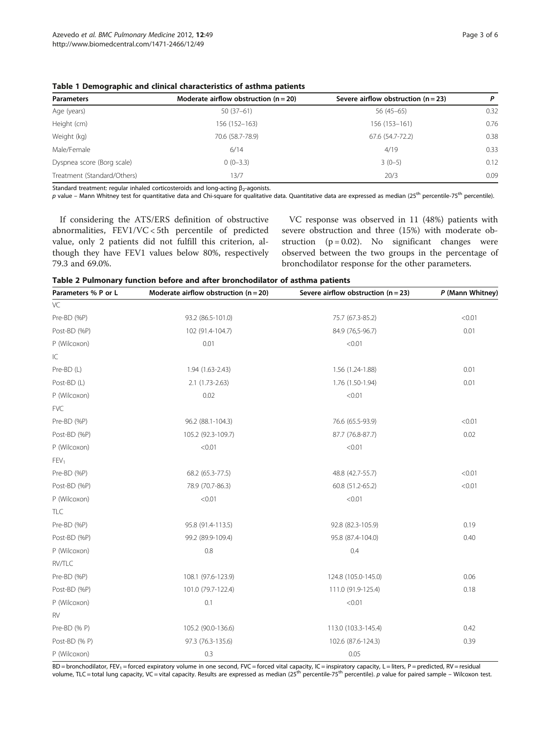<span id="page-2-0"></span>Table 1 Demographic and clinical characteristics of asthma patients

| <b>Parameters</b>           | Moderate airflow obstruction $(n = 20)$ | Severe airflow obstruction $(n = 23)$ | P    |
|-----------------------------|-----------------------------------------|---------------------------------------|------|
| Age (years)                 | $50(37-61)$                             | $56(45-65)$                           | 0.32 |
| Height (cm)                 | 156 (152-163)                           | 156 (153-161)                         | 0.76 |
| Weight (kg)                 | 70.6 (58.7-78.9)                        | 67.6 (54.7-72.2)                      | 0.38 |
| Male/Female                 | 6/14                                    | 4/19                                  | 0.33 |
| Dyspnea score (Borg scale)  | $0(0-3.3)$                              | $3(0-5)$                              | 0.12 |
| Treatment (Standard/Others) | 13/7                                    | 20/3                                  | 0.09 |

Standard treatment: regular inhaled corticosteroids and long-acting  $\beta_2$ -agonists.

p value – Mann Whitney test for quantitative data and Chi-square for qualitative data. Quantitative data are expressed as median (25<sup>th</sup> percentile-75<sup>th</sup> percentile).

If considering the ATS/ERS definition of obstructive abnormalities, FEV1/VC < 5th percentile of predicted value, only 2 patients did not fulfill this criterion, although they have FEV1 values below 80%, respectively 79.3 and 69.0%.

VC response was observed in 11 (48%) patients with severe obstruction and three (15%) with moderate obstruction  $(p = 0.02)$ . No significant changes were observed between the two groups in the percentage of bronchodilator response for the other parameters.

Table 2 Pulmonary function before and after bronchodilator of asthma patients

| Parameters % P or L | Moderate airflow obstruction $(n = 20)$ | Severe airflow obstruction ( $n = 23$ ) | P (Mann Whitney) |
|---------------------|-----------------------------------------|-----------------------------------------|------------------|
| VC                  |                                         |                                         |                  |
| Pre-BD (%P)         | 93.2 (86.5-101.0)                       | 75.7 (67.3-85.2)                        | < 0.01           |
| Post-BD (%P)        | 102 (91.4-104.7)                        | 84.9 (76,5-96.7)                        | 0.01             |
| P (Wilcoxon)        | 0.01                                    | < 0.01                                  |                  |
| IC                  |                                         |                                         |                  |
| Pre-BD (L)          | 1.94 (1.63-2.43)                        | 1.56 (1.24-1.88)                        | 0.01             |
| Post-BD (L)         | $2.1(1.73-2.63)$                        | 1.76 (1.50-1.94)                        | 0.01             |
| P (Wilcoxon)        | 0.02                                    | < 0.01                                  |                  |
| <b>FVC</b>          |                                         |                                         |                  |
| Pre-BD (%P)         | 96.2 (88.1-104.3)                       | 76.6 (65.5-93.9)                        | < 0.01           |
| Post-BD (%P)        | 105.2 (92.3-109.7)                      | 87.7 (76.8-87.7)                        | 0.02             |
| P (Wilcoxon)        | < 0.01                                  | < 0.01                                  |                  |
| FEV <sub>1</sub>    |                                         |                                         |                  |
| Pre-BD (%P)         | 68.2 (65.3-77.5)                        | 48.8 (42.7-55.7)                        | < 0.01           |
| Post-BD (%P)        | 78.9 (70.7-86.3)                        | 60.8 (51.2-65.2)                        | < 0.01           |
| P (Wilcoxon)        | < 0.01                                  | < 0.01                                  |                  |
| TLC                 |                                         |                                         |                  |
| Pre-BD (%P)         | 95.8 (91.4-113.5)                       | 92.8 (82.3-105.9)                       | 0.19             |
| Post-BD (%P)        | 99.2 (89.9-109.4)                       | 95.8 (87.4-104.0)                       | 0.40             |
| P (Wilcoxon)        | 0.8                                     | 0.4                                     |                  |
| RV/TLC              |                                         |                                         |                  |
| Pre-BD (%P)         | 108.1 (97.6-123.9)                      | 124.8 (105.0-145.0)                     | 0.06             |
| Post-BD (%P)        | 101.0 (79.7-122.4)                      | 111.0 (91.9-125.4)                      | 0.18             |
| P (Wilcoxon)        | 0.1                                     | < 0.01                                  |                  |
| <b>RV</b>           |                                         |                                         |                  |
| Pre-BD (% P)        | 105.2 (90.0-136.6)                      | 113.0 (103.3-145.4)                     | 0.42             |
| Post-BD (% P)       | 97.3 (76.3-135.6)                       | 102.6 (87.6-124.3)                      | 0.39             |
| P (Wilcoxon)        | 0.3                                     | 0.05                                    |                  |

BD = bronchodilator, FEV<sub>1</sub> = forced expiratory volume in one second, FVC = forced vital capacity, IC = inspiratory capacity, L = liters, P = predicted, RV = residual volume, TLC = total lung capacity, VC = vital capacity. Results are expressed as median  $(25^{th}$  percentile-75<sup>th</sup> percentile). p value for paired sample – Wilcoxon test.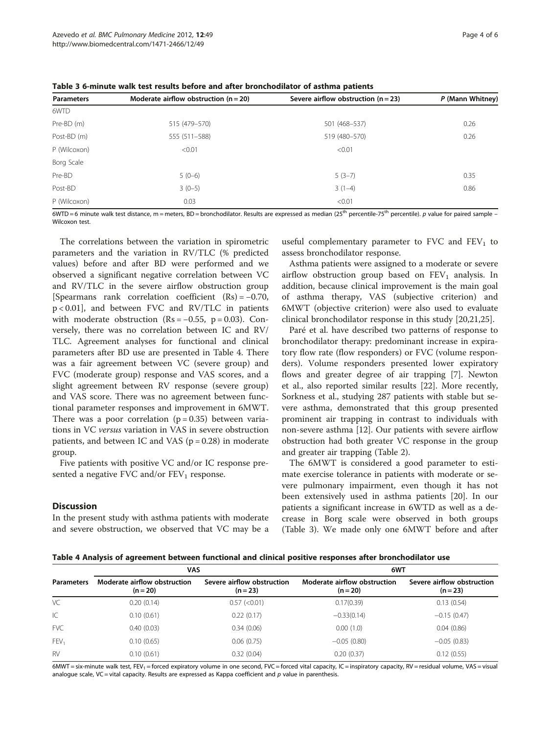| <b>Parameters</b> | Moderate airflow obstruction $(n = 20)$ | Severe airflow obstruction $(n = 23)$ | P (Mann Whitney) |
|-------------------|-----------------------------------------|---------------------------------------|------------------|
| 6WTD              |                                         |                                       |                  |
| Pre-BD (m)        | 515 (479-570)                           | 501 (468-537)                         | 0.26             |
| Post-BD (m)       | 555 (511-588)                           | 519 (480-570)                         | 0.26             |
| P (Wilcoxon)      | < 0.01                                  | < 0.01                                |                  |
| Borg Scale        |                                         |                                       |                  |
| Pre-BD            | $5(0-6)$                                | $5(3-7)$                              | 0.35             |
| Post-BD           | $3(0-5)$                                | $3(1-4)$                              | 0.86             |
| P (Wilcoxon)      | 0.03                                    | < 0.01                                |                  |

<span id="page-3-0"></span>Table 3 6-minute walk test results before and after bronchodilator of asthma patients

 $6WTD = 6$  minute walk test distance, m = meters, BD = bronchodilator. Results are expressed as median (25<sup>th</sup> percentile-75<sup>th</sup> percentile). *p* value for paired sample – Wilcoxon test.

The correlations between the variation in spirometric parameters and the variation in RV/TLC (% predicted values) before and after BD were performed and we observed a significant negative correlation between VC and RV/TLC in the severe airflow obstruction group [Spearmans rank correlation coefficient (Rs) = −0.70, p < 0.01], and between FVC and RV/TLC in patients with moderate obstruction  $(Rs = -0.55, p = 0.03)$ . Conversely, there was no correlation between IC and RV/ TLC. Agreement analyses for functional and clinical parameters after BD use are presented in Table 4. There was a fair agreement between VC (severe group) and FVC (moderate group) response and VAS scores, and a slight agreement between RV response (severe group) and VAS score. There was no agreement between functional parameter responses and improvement in 6MWT. There was a poor correlation  $(p = 0.35)$  between variations in VC versus variation in VAS in severe obstruction patients, and between IC and VAS ( $p = 0.28$ ) in moderate group.

Five patients with positive VC and/or IC response presented a negative FVC and/or  $FEV_1$  response.

### **Discussion**

In the present study with asthma patients with moderate and severe obstruction, we observed that VC may be a useful complementary parameter to FVC and  $FEV<sub>1</sub>$  to assess bronchodilator response.

Asthma patients were assigned to a moderate or severe airflow obstruction group based on  $FEV<sub>1</sub>$  analysis. In addition, because clinical improvement is the main goal of asthma therapy, VAS (subjective criterion) and 6MWT (objective criterion) were also used to evaluate clinical bronchodilator response in this study [[20,21](#page-5-0),[25](#page-5-0)].

Paré et al. have described two patterns of response to bronchodilator therapy: predominant increase in expiratory flow rate (flow responders) or FVC (volume responders). Volume responders presented lower expiratory flows and greater degree of air trapping [\[7](#page-4-0)]. Newton et al., also reported similar results [[22\]](#page-5-0). More recently, Sorkness et al., studying 287 patients with stable but severe asthma, demonstrated that this group presented prominent air trapping in contrast to individuals with non-severe asthma [\[12\]](#page-4-0). Our patients with severe airflow obstruction had both greater VC response in the group and greater air trapping (Table [2](#page-2-0)).

The 6MWT is considered a good parameter to estimate exercise tolerance in patients with moderate or severe pulmonary impairment, even though it has not been extensively used in asthma patients [\[20](#page-5-0)]. In our patients a significant increase in 6WTD as well as a decrease in Borg scale were observed in both groups (Table 3). We made only one 6MWT before and after

|                   | <b>VAS</b>                                 |                                          | 6WT                                        |                                        |
|-------------------|--------------------------------------------|------------------------------------------|--------------------------------------------|----------------------------------------|
| <b>Parameters</b> | Moderate airflow obstruction<br>$(n = 20)$ | Severe airflow obstruction<br>$(n = 23)$ | Moderate airflow obstruction<br>$(n = 20)$ | Severe airflow obstruction<br>$(n=23)$ |
| VC                | 0.20(0.14)                                 | $0.57$ ( $< 0.01$ )                      | 0.17(0.39)                                 | 0.13(0.54)                             |
| IC                | 0.10(0.61)                                 | 0.22(0.17)                               | $-0.33(0.14)$                              | $-0.15(0.47)$                          |
| <b>FVC</b>        | 0.40(0.03)                                 | 0.34(0.06)                               | 0.00(1.0)                                  | 0.04(0.86)                             |
| FEV <sub>1</sub>  | 0.10(0.65)                                 | 0.06(0.75)                               | $-0.05(0.80)$                              | $-0.05(0.83)$                          |
| <b>RV</b>         | 0.10(0.61)                                 | 0.32(0.04)                               | 0.20(0.37)                                 | 0.12(0.55)                             |

6MWT = six-minute walk test, FEV<sub>1</sub> = forced expiratory volume in one second, FVC = forced vital capacity, IC = inspiratory capacity, RV = residual volume, VAS = visual analogue scale, VC = vital capacity. Results are expressed as Kappa coefficient and  $p$  value in parenthesis.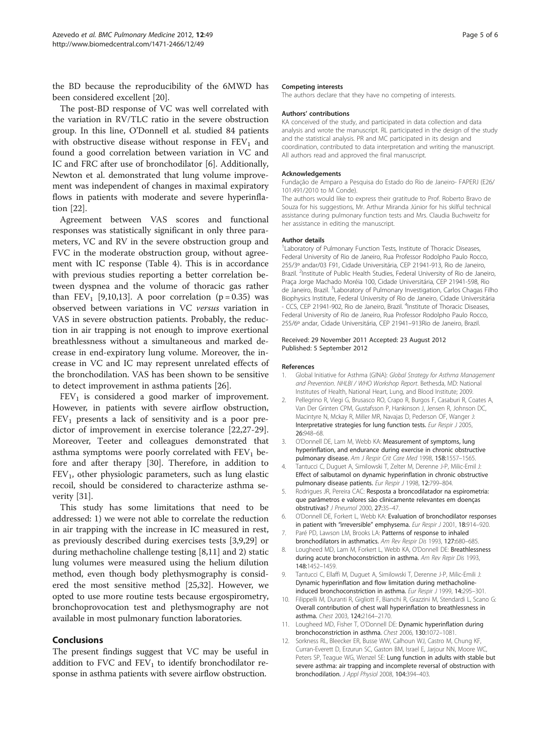<span id="page-4-0"></span>the BD because the reproducibility of the 6MWD has been considered excellent [\[20](#page-5-0)].

The post-BD response of VC was well correlated with the variation in RV/TLC ratio in the severe obstruction group. In this line, O'Donnell et al. studied 84 patients with obstructive disease without response in  $FEV<sub>1</sub>$  and found a good correlation between variation in VC and IC and FRC after use of bronchodilator [6]. Additionally, Newton et al. demonstrated that lung volume improvement was independent of changes in maximal expiratory flows in patients with moderate and severe hyperinflation [\[22\]](#page-5-0).

Agreement between VAS scores and functional responses was statistically significant in only three parameters, VC and RV in the severe obstruction group and FVC in the moderate obstruction group, without agreement with IC response (Table [4](#page-3-0)). This is in accordance with previous studies reporting a better correlation between dyspnea and the volume of thoracic gas rather than FEV<sub>1</sub> [9,10,[13\]](#page-5-0). A poor correlation ( $p = 0.35$ ) was observed between variations in VC versus variation in VAS in severe obstruction patients. Probably, the reduction in air trapping is not enough to improve exertional breathlessness without a simultaneous and marked decrease in end-expiratory lung volume. Moreover, the increase in VC and IC may represent unrelated effects of the bronchodilation. VAS has been shown to be sensitive to detect improvement in asthma patients [[26\]](#page-5-0).

 $FEV<sub>1</sub>$  is considered a good marker of improvement. However, in patients with severe airflow obstruction,  $FEV<sub>1</sub>$  presents a lack of sensitivity and is a poor predictor of improvement in exercise tolerance [\[22,27-29](#page-5-0)]. Moreover, Teeter and colleagues demonstrated that asthma symptoms were poorly correlated with  $FEV<sub>1</sub>$  before and after therapy [[30](#page-5-0)]. Therefore, in addition to  $FEV<sub>1</sub>$ , other physiologic parameters, such as lung elastic recoil, should be considered to characterize asthma severity [\[31](#page-5-0)].

This study has some limitations that need to be addressed: 1) we were not able to correlate the reduction in air trapping with the increase in IC measured in rest, as previously described during exercises tests [3,9[,29](#page-5-0)] or during methacholine challenge testing [8,11] and 2) static lung volumes were measured using the helium dilution method, even though body plethysmography is considered the most sensitive method [\[25,32](#page-5-0)]. However, we opted to use more routine tests because ergospirometry, bronchoprovocation test and plethysmography are not available in most pulmonary function laboratories.

# Conclusions

The present findings suggest that VC may be useful in addition to FVC and  $FEV<sub>1</sub>$  to identify bronchodilator response in asthma patients with severe airflow obstruction.

#### Competing interests

The authors declare that they have no competing of interests.

#### Authors' contributions

KA conceived of the study, and participated in data collection and data analysis and wrote the manuscript. RL participated in the design of the study and the statistical analysis. PR and MC participated in its design and coordination, contributed to data interpretation and writing the manuscript. All authors read and approved the final manuscript.

#### Acknowledgements

Fundação de Amparo a Pesquisa do Estado do Rio de Janeiro- FAPERJ (E26/ 101.491/2010 to M Conde).

The authors would like to express their gratitude to Prof. Roberto Bravo de Souza for his suggestions, Mr. Arthur Miranda Júnior for his skilful technical assistance during pulmonary function tests and Mrs. Claudia Buchweitz for her assistance in editing the manuscript.

#### Author details

<sup>1</sup> Laboratory of Pulmonary Function Tests, Institute of Thoracic Diseases, Federal University of Rio de Janeiro, Rua Professor Rodolpho Paulo Rocco, 255/3º andar/03 F91, Cidade Universitária, CEP 21941-913, Rio de Janeiro, Brazil. <sup>2</sup>Institute of Public Health Studies, Federal University of Rio de Janeiro Praça Jorge Machado Moréia 100, Cidade Universitária, CEP 21941-598, Rio de Janeiro, Brazil. <sup>3</sup> Laboratory of Pulmonary Investigation, Carlos Chagas Filho Biophysics Institute, Federal University of Rio de Janeiro, Cidade Universitária - CCS, CEP 21941-902, Rio de Janeiro, Brazil. <sup>4</sup>Institute of Thoracic Diseases, Federal University of Rio de Janeiro, Rua Professor Rodolpho Paulo Rocco, 255/6º andar, Cidade Universitária, CEP 21941–913Rio de Janeiro, Brazil.

#### Received: 29 November 2011 Accepted: 23 August 2012 Published: 5 September 2012

#### References

- 1. Global Initiative for Asthma (GINA): Global Strategy for Asthma Management and Prevention. NHLBI / WHO Workshop Report. Bethesda, MD: National Institutes of Health, National Heart, Lung, and Blood Institute; 2009.
- 2. Pellegrino R, Viegi G, Brusasco RO, Crapo R, Burgos F, Casaburi R, Coates A, Van Der Grinten CPM, Gustafsson P, Hankinson J, Jensen R, Johnson DC, Macintyre N, Mckay R, Miller MR, Navajas D, Pederson OF, Wanger J: Interpretative strategies for lung function tests. Eur Respir J 2005, 26:948–68.
- 3. O'Donnell DE, Lam M, Webb KA: Measurement of symptoms, lung hyperinflation, and endurance during exercise in chronic obstructive pulmonary disease. Am J Respir Crit Care Med 1998, 158:1557-1565.
- 4. Tantucci C, Duguet A, Similowski T, Zelter M, Derenne J-P, Milic-Emil J: Effect of salbutamol on dynamic hyperinflation in chronic obstructive pulmonary disease patients. Eur Respir J 1998, 12:799-804.
- 5. Rodrigues JR, Pereira CAC: Resposta a broncodilatador na espirometria: que parâmetros e valores são clinicamente relevantes em doenças obstrutivas? J Pneumol 2000, 27:35–47.
- 6. O'Donnell DE, Forkert L, Webb KA: Evaluation of bronchodilator responses in patient with "irreversible" emphysema. Eur Respir J 2001, 18:914-920.
- 7. Paré PD, Lawson LM, Brooks LA: Patterns of response to inhaled bronchodilators in asthmatics. Am Rev Respir Dis 1993, 127:680–685.
- 8. Lougheed MD, Lam M, Forkert L, Webb KA, O'Donnell DE: Breathlessness during acute bronchoconstriction in asthma. Am Rev Repir Dis 1993, 148:1452–1459.
- 9. Tantucci C, Ellaffi M, Duguet A, Similowski T, Derenne J-P, Milic-Emili J: Dynamic hyperinflation and flow limitation during methacholineinduced bronchoconstriction in asthma. Eur Respir J 1999, 14:295-301
- 10. Filippelli M, Duranti R, Gigliott F, Bianchi R, Grazzini M, Stendardi L, Scano G: Overall contribution of chest wall hyperinflation to breathlessness in asthma. Chest 2003, 124:2164–2170.
- 11. Lougheed MD, Fisher T, O'Donnell DE: Dynamic hyperinflation during bronchoconstriction in asthma. Chest 2006, 130:1072–1081.
- 12. Sorkness RL, Bleecker ER, Busse WW, Calhoun WJ, Castro M, Chung KF, Curran-Everett D, Erzurun SC, Gaston BM, Israel E, Jarjour NN, Moore WC, Peters SP, Teague WG, Wenzel SE: Lung function in adults with stable but severe asthma: air trapping and incomplete reversal of obstruction with bronchodilation. J Appl Physiol 2008, 104:394–403.